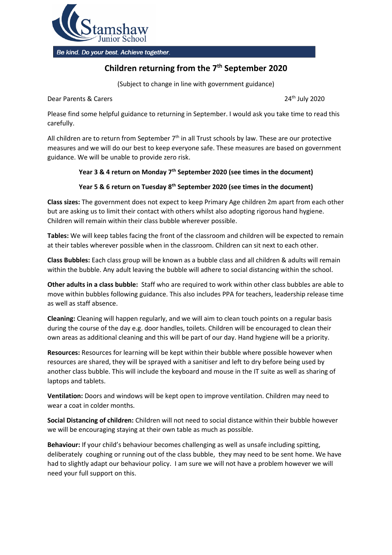

Be kind. Do your best. Achieve together.

## **Children returning from the 7 th September 2020**

(Subject to change in line with government guidance)

Dear Parents & Carers 24th July 2020

Please find some helpful guidance to returning in September. I would ask you take time to read this carefully.

All children are to return from September  $7<sup>th</sup>$  in all Trust schools by law. These are our protective measures and we will do our best to keep everyone safe. These measures are based on government guidance. We will be unable to provide zero risk.

## **Year 3 & 4 return on Monday 7th September 2020 (see times in the document)**

## **Year 5 & 6 return on Tuesday 8th September 2020 (see times in the document)**

**Class sizes:** The government does not expect to keep Primary Age children 2m apart from each other but are asking us to limit their contact with others whilst also adopting rigorous hand hygiene. Children will remain within their class bubble wherever possible.

**Tables:** We will keep tables facing the front of the classroom and children will be expected to remain at their tables wherever possible when in the classroom. Children can sit next to each other.

**Class Bubbles:** Each class group will be known as a bubble class and all children & adults will remain within the bubble. Any adult leaving the bubble will adhere to social distancing within the school.

**Other adults in a class bubble:** Staff who are required to work within other class bubbles are able to move within bubbles following guidance. This also includes PPA for teachers, leadership release time as well as staff absence.

**Cleaning:** Cleaning will happen regularly, and we will aim to clean touch points on a regular basis during the course of the day e.g. door handles, toilets. Children will be encouraged to clean their own areas as additional cleaning and this will be part of our day. Hand hygiene will be a priority.

**Resources:** Resources for learning will be kept within their bubble where possible however when resources are shared, they will be sprayed with a sanitiser and left to dry before being used by another class bubble. This will include the keyboard and mouse in the IT suite as well as sharing of laptops and tablets.

**Ventilation:** Doors and windows will be kept open to improve ventilation. Children may need to wear a coat in colder months.

**Social Distancing of children:** Children will not need to social distance within their bubble however we will be encouraging staying at their own table as much as possible.

**Behaviour:** If your child's behaviour becomes challenging as well as unsafe including spitting, deliberately coughing or running out of the class bubble, they may need to be sent home. We have had to slightly adapt our behaviour policy. I am sure we will not have a problem however we will need your full support on this.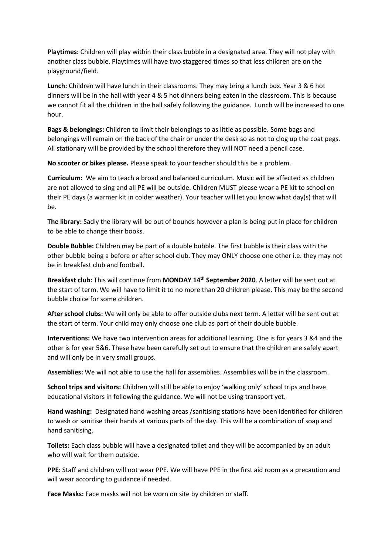**Playtimes:** Children will play within their class bubble in a designated area. They will not play with another class bubble. Playtimes will have two staggered times so that less children are on the playground/field.

**Lunch:** Children will have lunch in their classrooms. They may bring a lunch box. Year 3 & 6 hot dinners will be in the hall with year 4 & 5 hot dinners being eaten in the classroom. This is because we cannot fit all the children in the hall safely following the guidance. Lunch will be increased to one hour.

**Bags & belongings:** Children to limit their belongings to as little as possible. Some bags and belongings will remain on the back of the chair or under the desk so as not to clog up the coat pegs. All stationary will be provided by the school therefore they will NOT need a pencil case.

**No scooter or bikes please.** Please speak to your teacher should this be a problem.

**Curriculum:** We aim to teach a broad and balanced curriculum. Music will be affected as children are not allowed to sing and all PE will be outside. Children MUST please wear a PE kit to school on their PE days (a warmer kit in colder weather). Your teacher will let you know what day(s) that will be.

**The library:** Sadly the library will be out of bounds however a plan is being put in place for children to be able to change their books.

**Double Bubble:** Children may be part of a double bubble. The first bubble is their class with the other bubble being a before or after school club. They may ONLY choose one other i.e. they may not be in breakfast club and football.

**Breakfast club:** This will continue from **MONDAY 14th September 2020**. A letter will be sent out at the start of term. We will have to limit it to no more than 20 children please. This may be the second bubble choice for some children.

**After school clubs:** We will only be able to offer outside clubs next term. A letter will be sent out at the start of term. Your child may only choose one club as part of their double bubble.

**Interventions:** We have two intervention areas for additional learning. One is for years 3 &4 and the other is for year 5&6. These have been carefully set out to ensure that the children are safely apart and will only be in very small groups.

**Assemblies:** We will not able to use the hall for assemblies. Assemblies will be in the classroom.

**School trips and visitors:** Children will still be able to enjoy 'walking only' school trips and have educational visitors in following the guidance. We will not be using transport yet.

**Hand washing:** Designated hand washing areas /sanitising stations have been identified for children to wash or sanitise their hands at various parts of the day. This will be a combination of soap and hand sanitising.

**Toilets:** Each class bubble will have a designated toilet and they will be accompanied by an adult who will wait for them outside.

**PPE:** Staff and children will not wear PPE. We will have PPE in the first aid room as a precaution and will wear according to guidance if needed.

**Face Masks:** Face masks will not be worn on site by children or staff.